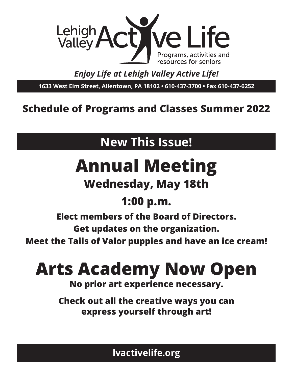

### *Enjoy Life at Lehigh Valley Active Life!*

**1633 West Elm Street, Allentown, PA 18102 • 610-437-3700 • Fax 610-437-6252**

## **Schedule of Programs and Classes Summer 2022**

## **New This Issue!**

## **Annual Meeting**

## **Wednesday, May 18th**

## **1:00 p.m.**

**Elect members of the Board of Directors.**

**Get updates on the organization.**

**Meet the Tails of Valor puppies and have an ice cream!**

## **Arts Academy Now Open**

**No prior art experience necessary.**

**Check out all the creative ways you can express yourself through art!**

**lvactivelife.org**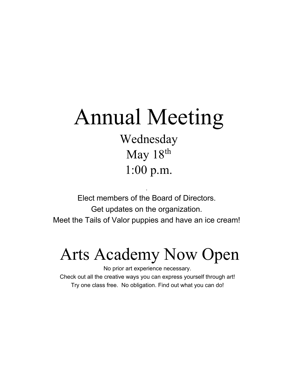## Annual Meeting

Wednesday May 18<sup>th</sup> 1:00 p.m.

Elect members of the Board of Directors. Get updates on the organization. Meet the Tails of Valor puppies and have an ice cream!

.

## Arts Academy Now Open

No prior art experience necessary. Check out all the creative ways you can express yourself through art! Try one class free. No obligation. Find out what you can do!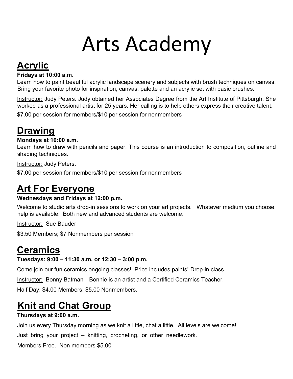## Arts Academy

## **Acrylic**

#### **Fridays at 10:00 a.m.**

Learn how to paint beautiful acrylic landscape scenery and subjects with brush techniques on canvas. Bring your favorite photo for inspiration, canvas, palette and an acrylic set with basic brushes.

Instructor: Judy Peters. Judy obtained her Associates Degree from the Art Institute of Pittsburgh. She worked as a professional artist for 25 years. Her calling is to help others express their creative talent.

\$7.00 per session for members/\$10 per session for nonmembers

## **Drawing**

#### **Mondays at 10:00 a.m.**

Learn how to draw with pencils and paper. This course is an introduction to composition, outline and shading techniques.

Instructor: Judy Peters.

\$7.00 per session for members/\$10 per session for nonmembers

## **Art For Everyone**

#### **Wednesdays and Fridays at 12:00 p.m.**

Welcome to studio arts drop-in sessions to work on your art projects. Whatever medium you choose, help is available. Both new and advanced students are welcome.

Instructor: Sue Bauder

\$3.50 Members; \$7 Nonmembers per session

## **Ceramics**

#### **Tuesdays: 9:00 – 11:30 a.m. or 12:30 – 3:00 p.m.**

Come join our fun ceramics ongoing classes! Price includes paints! Drop-in class.

Instructor: Bonny Batman—Bonnie is an artist and a Certified Ceramics Teacher.

Half Day: \$4.00 Members; \$5.00 Nonmembers.

## **Knit and Chat Group**

#### **Thursdays at 9:00 a.m.**

Join us every Thursday morning as we knit a little, chat a little. All levels are welcome! Just bring your project – knitting, crocheting, or other needlework.

Members Free. Non members \$5.00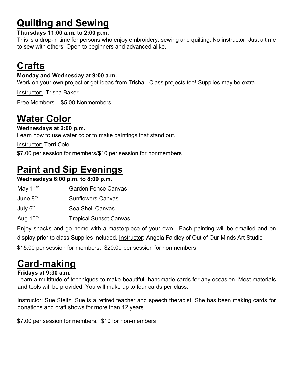## **Quilting and Sewing**

#### **Thursdays 11:00 a.m. to 2:00 p.m.**

This is a drop-in time for persons who enjoy embroidery, sewing and quilting. No instructor. Just a time to sew with others. Open to beginners and advanced alike.

## **Crafts**

#### **Monday and Wednesday at 9:00 a.m.**

Work on your own project or get ideas from Trisha. Class projects too! Supplies may be extra.

Instructor: Trisha Baker

Free Members. \$5.00 Nonmembers

## **Water Color**

**Wednesdays at 2:00 p.m.** 

Learn how to use water color to make paintings that stand out.

Instructor: Terri Cole

\$7.00 per session for members/\$10 per session for nonmembers

## **Paint and Sip Evenings**

#### **Wednesdays 6:00 p.m. to 8:00 p.m.**

| <b>Garden Fence Canvas</b>    |
|-------------------------------|
| <b>Sunflowers Canvas</b>      |
| Sea Shell Canvas              |
| <b>Tropical Sunset Canvas</b> |
|                               |

Enjoy snacks and go home with a masterpiece of your own. Each painting will be emailed and on display prior to class.Supplies included. Instructor: Angela Faidley of Out of Our Minds Art Studio \$15.00 per session for members. \$20.00 per session for nonmembers.

## **Card-making**

#### **Fridays at 9:30 a.m.**

Learn a multitude of techniques to make beautiful, handmade cards for any occasion. Most materials and tools will be provided. You will make up to four cards per class.

Instructor: Sue Steltz. Sue is a retired teacher and speech therapist. She has been making cards for donations and craft shows for more than 12 years.

\$7.00 per session for members. \$10 for non-members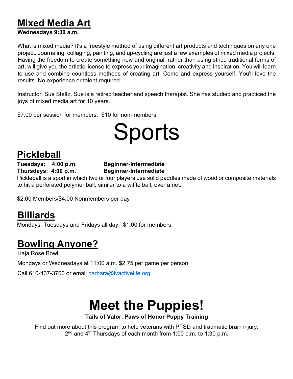### **Mixed Media Art**

#### **Wednesdays 9:30 a.m.**

What is mixed media? It's a freestyle method of using different art products and techniques on any one project. Journaling, collaging, painting, and up-cycling are just a few examples of mixed media projects. Having the freedom to create something new and original, rather than using strict, traditional forms of art, will give you the artistic license to express your imagination, creativity and inspiration. You will learn to use and combine countless methods of creating art. Come and express yourself. You'll love the results. No experience or talent required.

Instructor: Sue Steltz. Sue is a retired teacher and speech therapist. She has studied and practiced the joys of mixed media art for 10 years.

\$7.00 per session for members. \$10 for non-members

## Sports

### **Pickleball**

#### **Tuesdays: 4:00 p.m. Beginner-Intermediate Thursdays: 4:00 p.m. Beginner-Intermediate**

Pickleball is a sport in which two or four players use solid paddles made of wood or composite materials to hit a perforated polymer ball, similar to a wiffle ball, over a net.

\$2.00 Members/\$4.00 Nonmembers per day

## **Billiards**

Mondays, Tuesdays and Fridays all day. \$1.00 for members.

## **Bowling Anyone?**

Haja Rose Bowl Mondays or Wednesdays at 11:00 a.m. \$2.75 per game per person

Call 610-437-3700 or email barbara@lvactivelife.org

## **Meet the Puppies!**

**Tails of Valor, Paws of Honor Puppy Training**

Find out more about this program to help veterans with PTSD and traumatic brain injury.  $2<sup>nd</sup>$  and  $4<sup>th</sup>$  Thursdays of each month from 1:00 p.m. to 1:30 p.m.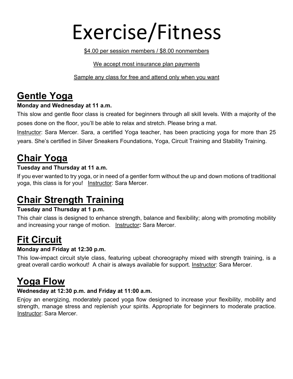## Exercise/Fitness

\$4.00 per session members / \$8.00 nonmembers

#### We accept most insurance plan payments

Sample any class for free and attend only when you want

### **Gentle Yoga**

#### **Monday and Wednesday at 11 a.m.**

This slow and gentle floor class is created for beginners through all skill levels. With a majority of the poses done on the floor, you'll be able to relax and stretch. Please bring a mat.

Instructor: Sara Mercer. Sara, a certified Yoga teacher, has been practicing yoga for more than 25 years. She's certified in Silver Sneakers Foundations, Yoga, Circuit Training and Stability Training.

## **Chair Yoga**

#### **Tuesday and Thursday at 11 a.m.**

If you ever wanted to try yoga, or in need of a gentler form without the up and down motions of traditional yoga, this class is for you! Instructor: Sara Mercer.

## **Chair Strength Training**

#### **Tuesday and Thursday at 1 p.m.**

This chair class is designed to enhance strength, balance and flexibility; along with promoting mobility and increasing your range of motion. Instructor**:** Sara Mercer.

## **Fit Circuit**

#### **Monday and Friday at 12:30 p.m.**

This low-impact circuit style class, featuring upbeat choreography mixed with strength training, is a great overall cardio workout! A chair is always available for support. Instructor: Sara Mercer.

### **Yoga Flow**

#### **Wednesday at 12:30 p.m. and Friday at 11:00 a.m.**

Enjoy an energizing, moderately paced yoga flow designed to increase your flexibility, mobility and strength, manage stress and replenish your spirits. Appropriate for beginners to moderate practice. Instructor: Sara Mercer.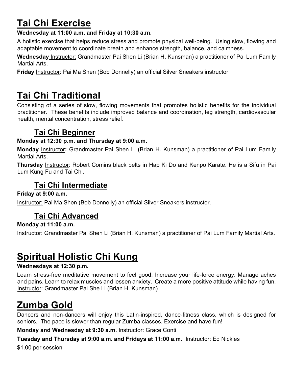## **Tai Chi Exercise**

#### **Wednesday at 11:00 a.m. and Friday at 10:30 a.m.**

A holistic exercise that helps reduce stress and promote physical well-being. Using slow, flowing and adaptable movement to coordinate breath and enhance strength, balance, and calmness.

**Wednesday** Instructor: Grandmaster Pai Shen Li (Brian H. Kunsman) a practitioner of Pai Lum Family Martial Arts.

**Friday** Instructor: Pai Ma Shen (Bob Donnelly) an official Silver Sneakers instructor

## **Tai Chi Traditional**

Consisting of a series of slow, flowing movements that promotes holistic benefits for the individual practitioner. These benefits include improved balance and coordination, leg strength, cardiovascular health, mental concentration, stress relief.

### **Tai Chi Beginner**

#### **Monday at 12:30 p.m. and Thursday at 9:00 a.m.**

**Monday** Instructor**:** Grandmaster Pai Shen Li (Brian H. Kunsman) a practitioner of Pai Lum Family Martial Arts.

**Thursday** Instructor: Robert Comins black belts in Hap Ki Do and Kenpo Karate. He is a Sifu in Pai Lum Kung Fu and Tai Chi.

#### **Tai Chi Intermediate**

**Friday at 9:00 a.m.** 

Instructor: Pai Ma Shen (Bob Donnelly) an official Silver Sneakers instructor.

### **Tai Chi Advanced**

**Monday at 11:00 a.m.** 

Instructor: Grandmaster Pai Shen Li (Brian H. Kunsman) a practitioner of Pai Lum Family Martial Arts.

## **Spiritual Holistic Chi Kung**

#### **Wednesdays at 12:30 p.m.**

Learn stress-free meditative movement to feel good. Increase your life-force energy. Manage aches and pains. Learn to relax muscles and lessen anxiety. Create a more positive attitude while having fun. Instructor: Grandmaster Pai She Li (Brian H. Kunsman)

## **Zumba Gold**

Dancers and non-dancers will enjoy this Latin-inspired, dance-fitness class, which is designed for seniors. The pace is slower than regular Zumba classes. Exercise and have fun!

**Monday and Wednesday at 9:30 a.m.** Instructor: Grace Conti

**Tuesday and Thursday at 9:00 a.m. and Fridays at 11:00 a.m.** Instructor: Ed Nickles

\$1.00 per session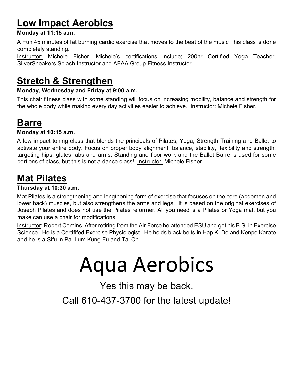## **Low Impact Aerobics**

#### **Monday at 11:15 a.m.**

A Fun 45 minutes of fat burning cardio exercise that moves to the beat of the music This class is done completely standing.

Instructor: Michele Fisher. Michele's certifications include; 200hr Certified Yoga Teacher, SilverSneakers Splash Instructor and AFAA Group Fitness Instructor.

### **Stretch & Strengthen**

#### **Monday, Wednesday and Friday at 9:00 a.m.**

This chair fitness class with some standing will focus on increasing mobility, balance and strength for the whole body while making every day activities easier to achieve. Instructor: Michele Fisher.

### **Barre**

#### **Monday at 10:15 a.m.**

A low impact toning class that blends the principals of Pilates, Yoga, Strength Training and Ballet to activate your entire body. Focus on proper body alignment, balance, stability, flexibility and strength; targeting hips, glutes, abs and arms. Standing and floor work and the Ballet Barre is used for some portions of class, but this is not a dance class! Instructor: Michele Fisher.

### **Mat Pilates**

#### **Thursday at 10:30 a.m.**

Mat Pilates is a strengthening and lengthening form of exercise that focuses on the core (abdomen and lower back) muscles, but also strengthens the arms and legs. It is based on the original exercises of Joseph Pilates and does not use the Pilates reformer. All you need is a Pilates or Yoga mat, but you make can use a chair for modifications.

Instructor: Robert Comins. After retiring from the Air Force he attended ESU and got his B.S. in Exercise Science. He is a Certififed Exercise Physiologist. He holds black belts in Hap Ki Do and Kenpo Karate and he is a Sifu in Pai Lum Kung Fu and Tai Chi.

## Aqua Aerobics

Yes this may be back.

Call 610-437-3700 for the latest update!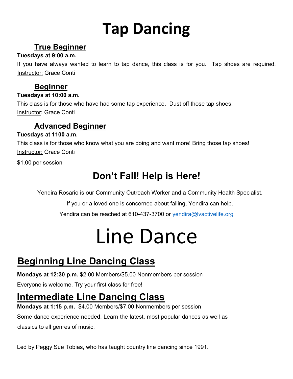## **Tap Dancing**

### **True Beginner**

#### **Tuesdays at 9:00 a.m.**

If you have always wanted to learn to tap dance, this class is for you. Tap shoes are required. Instructor: Grace Conti

### **Beginner**

#### **Tuesdays at 10:00 a.m.**

This class is for those who have had some tap experience. Dust off those tap shoes. **Instructor: Grace Conti** 

#### **Advanced Beginner**

#### **Tuesdays at 1100 a.m.**

This class is for those who know what you are doing and want more! Bring those tap shoes! **Instructor: Grace Conti** 

\$1.00 per session

## **Don't Fall! Help is Here!**

Yendira Rosario is our Community Outreach Worker and a Community Health Specialist.

If you or a loved one is concerned about falling, Yendira can help.

Yendira can be reached at 610-437-3700 or yendira@lvactivelife.org

## Line Dance

## **Beginning Line Dancing Class**

**Mondays at 12:30 p.m.** \$2.00 Members/\$5.00 Nonmembers per session

Everyone is welcome. Try your first class for free!

## **Intermediate Line Dancing Class**

**Mondays at 1:15 p.m.** \$4.00 Members/\$7.00 Nonmembers per session

Some dance experience needed. Learn the latest, most popular dances as well as classics to all genres of music.

Led by Peggy Sue Tobias, who has taught country line dancing since 1991.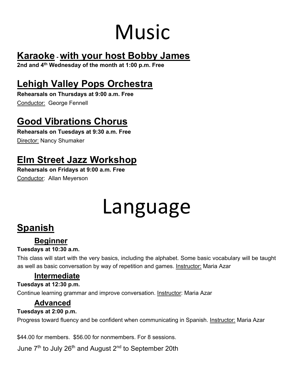## Music

## **Karaoke - with your host Bobby James**

**2nd and 4th Wednesday of the month at 1:00 p.m. Free**

## **Lehigh Valley Pops Orchestra**

**Rehearsals on Thursdays at 9:00 a.m. Free** Conductor: George Fennell

## **Good Vibrations Chorus**

**Rehearsals on Tuesdays at 9:30 a.m. Free**  Director: Nancy Shumaker

## **Elm Street Jazz Workshop**

**Rehearsals on Fridays at 9:00 a.m. Free**  Conductor: Allan Meyerson

## Language

## **Spanish**

### **Beginner**

#### **Tuesdays at 10:30 a.m.**

This class will start with the very basics, including the alphabet. Some basic vocabulary will be taught as well as basic conversation by way of repetition and games. Instructor: Maria Azar

#### **Intermediate**

#### **Tuesdays at 12:30 p.m.**

Continue learning grammar and improve conversation. Instructor: Maria Azar

### **Advanced**

#### **Tuesdays at 2:00 p.m.**

Progress toward fluency and be confident when communicating in Spanish. Instructor: Maria Azar

\$44.00 for members. \$56.00 for nonmembers. For 8 sessions.

June  $7<sup>th</sup>$  to July 26<sup>th</sup> and August  $2<sup>nd</sup>$  to September 20th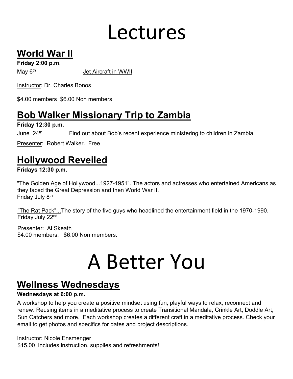## Lectures

## **World War II**

**Friday 2:00 p.m.** 

May 6<sup>th</sup> Jet Aircraft in WWII

Instructor: Dr. Charles Bonos

\$4.00 members \$6.00 Non members

## **Bob Walker Missionary Trip to Zambia**

**Friday 12:30 p.m.** 

June  $24<sup>th</sup>$  Find out about Bob's recent experience ministering to children in Zambia.

Presenter: Robert Walker. Free

## **Hollywood Reveiled**

**Fridays 12:30 p.m.** 

"The Golden Age of Hollywood...1927-1951". The actors and actresses who entertained Americans as they faced the Great Depression and then World War II. Friday July 8<sup>th</sup>

"The Rat Pack"...The story of the five guys who headlined the entertainment field in the 1970-1990. Friday July 22nd

Presenter: Al Skeath \$4.00 members. \$6.00 Non members.

## A Better You

## **Wellness Wednesdays**

#### **Wednesdays at 6:00 p.m.**

A workshop to help you create a positive mindset using fun, playful ways to relax, reconnect and renew. Reusing items in a meditative process to create Transitional Mandala, Crinkle Art, Doddle Art, Sun Catchers and more. Each workshop creates a different craft in a meditative process. Check your email to get photos and specifics for dates and project descriptions.

Instructor: Nicole Ensmenger

\$15.00 includes instruction, supplies and refreshments!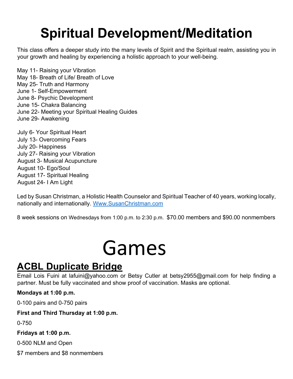## **Spiritual Development/Meditation**

This class offers a deeper study into the many levels of Spirit and the Spiritual realm, assisting you in your growth and healing by experiencing a holistic approach to your well-being.

May 11- Raising your Vibration May 18- Breath of Life/ Breath of Love May 25- Truth and Harmony June 1- Self-Empowerment June 8- Psychic Development June 15- Chakra Balancing June 22- Meeting your Spiritual Healing Guides June 29- Awakening

July 6- Your Spiritual Heart July 13- Overcoming Fears July 20- Happiness July 27- Raising your Vibration August 3- Musical Acupuncture August 10- Ego/Soul August 17- Spiritual Healing August 24- I Am Light

Led by Susan Christman, a Holistic Health Counselor and Spiritual Teacher of 40 years, working locally, nationally and internationally. Www.SusanChristman.com

8 week sessions on Wednesdays from 1:00 p.m. to 2:30 p.m. \$70.00 members and \$90.00 nonmembers

## Games

### **ACBL Duplicate Bridge**

Email Lois Fuini at lafuini@yahoo.com or Betsy Cutler at betsy2955@gmail.com for help finding a partner. Must be fully vaccinated and show proof of vaccination. Masks are optional.

#### **Mondays at 1:00 p.m.**

0-100 pairs and 0-750 pairs

#### **First and Third Thursday at 1:00 p.m.**

0-750

#### **Fridays at 1:00 p.m.**

0-500 NLM and Open

\$7 members and \$8 nonmembers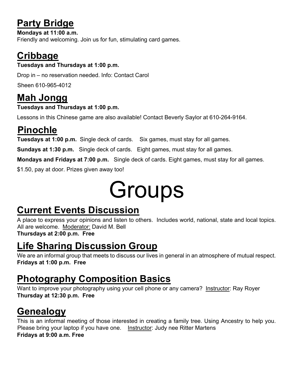## **Party Bridge**

**Mondays at 11:00 a.m.**  Friendly and welcoming. Join us for fun, stimulating card games.

## **Cribbage Tuesdays and Thursdays at 1:00 p.m.**

Drop in – no reservation needed. Info: Contact Carol

Sheen 610-965-4012

## **Mah Jongg**

#### **Tuesdays and Thursdays at 1:00 p.m.**

Lessons in this Chinese game are also available! Contact Beverly Saylor at 610-264-9164.

## **Pinochle**

**Tuesdays at 1:00 p.m.** Single deck of cards. Six games, must stay for all games.

**Sundays at 1:30 p.m.** Single deck of cards. Eight games, must stay for all games.

**Mondays and Fridays at 7:00 p.m.** Single deck of cards. Eight games, must stay for all games.

\$1.50, pay at door. Prizes given away too!

## **Groups**

## **Current Events Discussion**

A place to express your opinions and listen to others. Includes world, national, state and local topics. All are welcome. Moderator: David M. Bell

**Thursdays at 2:00 p.m. Free** 

## **Life Sharing Discussion Group**

We are an informal group that meets to discuss our lives in general in an atmosphere of mutual respect. **Fridays at 1:00 p.m. Free** 

## **Photography Composition Basics**

Want to improve your photography using your cell phone or any camera? Instructor: Ray Royer **Thursday at 12:30 p.m. Free**

## **Genealogy**

This is an informal meeting of those interested in creating a family tree. Using Ancestry to help you. Please bring your laptop if you have one. Instructor: Judy nee Ritter Martens **Fridays at 9:00 a.m. Free**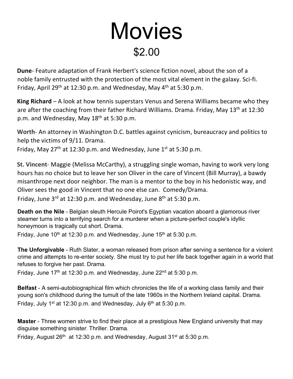## **Movies** \$2.00

**Dune**- Feature adaptation of Frank Herbert's science fiction novel, about the son of a noble family entrusted with the protection of the most vital element in the galaxy. Sci-fi. Friday, April 29<sup>th</sup> at 12:30 p.m. and Wednesday, May  $4<sup>th</sup>$  at 5:30 p.m.

**King Richard** – A look at how tennis superstars Venus and Serena Williams became who they are after the coaching from their father Richard Williams. Drama. Friday, May 13<sup>th</sup> at 12:30 p.m. and Wednesday, May  $18<sup>th</sup>$  at 5:30 p.m.

**Worth**- An attorney in Washington D.C. battles against cynicism, bureaucracy and politics to help the victims of 9/11. Drama.

Friday, May  $27<sup>th</sup>$  at 12:30 p.m. and Wednesday, June  $1<sup>st</sup>$  at 5:30 p.m.

**St. Vincent**- Maggie (Melissa McCarthy), a struggling single woman, having to work very long hours has no choice but to leave her son Oliver in the care of Vincent (Bill Murray), a bawdy misanthrope next door neighbor. The man is a mentor to the boy in his hedonistic way, and Oliver sees the good in Vincent that no one else can. Comedy/Drama. Friday, June  $3^{rd}$  at 12:30 p.m. and Wednesday, June  $8^{th}$  at 5:30 p.m.

**Death on the Nile** - Belgian sleuth Hercule Poirot's Egyptian vacation aboard a glamorous river steamer turns into a terrifying search for a murderer when a picture-perfect couple's idyllic honeymoon is tragically cut short. Drama.

Friday, June  $10^{th}$  at 12:30 p.m. and Wednesday, June  $15^{th}$  at 5:30 p.m.

**The Unforgivable** - Ruth Slater, a woman released from prison after serving a sentence for a violent crime and attempts to re-enter society. She must try to put her life back together again in a world that refuses to forgive her past. Drama.

Friday, June 17<sup>th</sup> at 12:30 p.m. and Wednesday, June 22<sup>nd</sup> at 5:30 p.m.

**Belfast** - A semi-autobiographical film which chronicles the life of a working class family and their young son's childhood during the tumult of the late 1960s in the Northern Ireland capital. Drama. Friday, July 1<sup>st</sup> at 12:30 p.m. and Wednesday, July  $6<sup>th</sup>$  at 5:30 p.m.

**Master** - Three women strive to find their place at a prestigious New England university that may disguise something sinister. Thriller. Drama.

Friday, August  $26<sup>th</sup>$  at 12:30 p.m. and Wednesday, August  $31<sup>st</sup>$  at 5:30 p.m.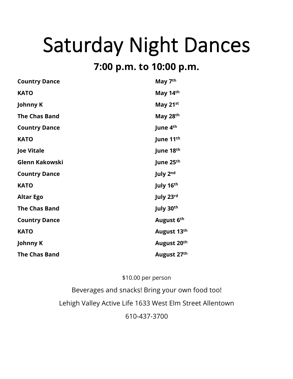## Saturday Night Dances

### **7:00 p.m. to 10:00 p.m.**

| <b>Country Dance</b>  | May 7 <sup>th</sup> |
|-----------------------|---------------------|
| <b>KATO</b>           | May 14th            |
| <b>Johnny K</b>       | May 21st            |
| <b>The Chas Band</b>  | May 28th            |
| <b>Country Dance</b>  | June 4th            |
| <b>KATO</b>           | June 11th           |
| <b>Joe Vitale</b>     | June 18th           |
| <b>Glenn Kakowski</b> | June 25th           |
| <b>Country Dance</b>  | July 2nd            |
| <b>KATO</b>           | July 16th           |
| <b>Altar Ego</b>      | July 23rd           |
| <b>The Chas Band</b>  | July 30th           |
| <b>Country Dance</b>  | August 6th          |
| <b>KATO</b>           | August 13th         |
| Johnny K              | August 20th         |
| <b>The Chas Band</b>  | August 27th         |

#### \$10.00 per person

Beverages and snacks! Bring your own food too! Lehigh Valley Active Life 1633 West Elm Street Allentown 610-437-3700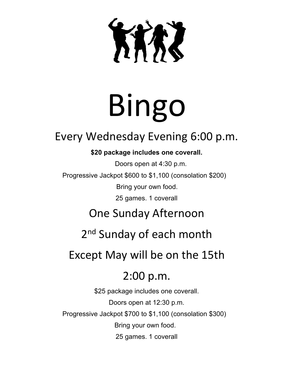KIRZ

# Bingo

## Every Wednesday Evening 6:00 p.m.

#### **\$20 package includes one coverall.**

Doors open at 4:30 p.m. Progressive Jackpot \$600 to \$1,100 (consolation \$200) Bring your own food.

25 games. 1 coverall

## One Sunday Afternoon

2<sup>nd</sup> Sunday of each month

## Except May will be on the 15th

## 2:00 p.m.

\$25 package includes one coverall. Doors open at 12:30 p.m. Progressive Jackpot \$700 to \$1,100 (consolation \$300) Bring your own food. 25 games. 1 coverall